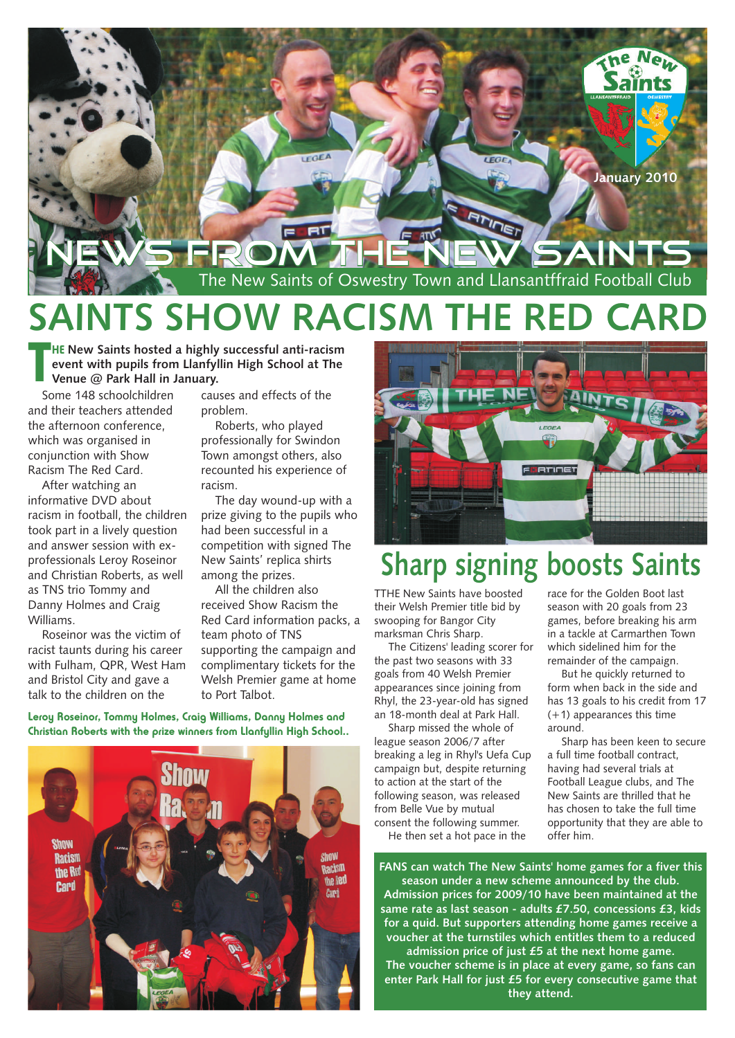

# **SAINTS SHOW RACIS**

**HE** New Saints hosted a highly successful anti-racism<br> **The EXECUTE CONSERVERT WAS SERVED AS Venue @ Park Hall in January.**<br>
Some 148 schoolchildren **Courses** and effects of the **event with pupils from Llanfyllin High School at The Venue @ Park Hall in January.**

Some 148 schoolchildren and their teachers attended the afternoon conference, which was organised in conjunction with Show Racism The Red Card.

After watching an informative DVD about racism in football, the children took part in a lively question and answer session with exprofessionals Leroy Roseinor and Christian Roberts, as well as TNS trio Tommy and Danny Holmes and Craig Williams.

Roseinor was the victim of racist taunts during his career with Fulham, QPR, West Ham and Bristol City and gave a talk to the children on the

causes and effects of the problem.

Roberts, who played professionally for Swindon Town amongst others, also recounted his experience of racism.

The day wound-up with a prize giving to the pupils who had been successful in a competition with signed The New Saints' replica shirts among the prizes.

All the children also received Show Racism the Red Card information packs, a team photo of TNS supporting the campaign and complimentary tickets for the Welsh Premier game at home to Port Talbot.

**Leroy Roseinor, Tommy Holmes, Craig Williams, Danny Holmes and Christian Roberts with the prize winners from Llanfyllin High School..**





### **Sharp signing boosts Saints**

TTHE New Saints have boosted their Welsh Premier title bid by swooping for Bangor City marksman Chris Sharp.

The Citizens' leading scorer for the past two seasons with 33 goals from 40 Welsh Premier appearances since joining from Rhyl, the 23-year-old has signed an 18-month deal at Park Hall.

Sharp missed the whole of league season 2006/7 after breaking a leg in Rhyl's Uefa Cup campaign but, despite returning to action at the start of the following season, was released from Belle Vue by mutual consent the following summer.

He then set a hot pace in the

race for the Golden Boot last season with 20 goals from 23 games, before breaking his arm in a tackle at Carmarthen Town which sidelined him for the remainder of the campaign.

But he quickly returned to form when back in the side and has 13 goals to his credit from 17 (+1) appearances this time around.

Sharp has been keen to secure a full time football contract, having had several trials at Football League clubs, and The New Saints are thrilled that he has chosen to take the full time opportunity that they are able to offer him.

**FANS can watch The New Saints' home games for a fiver this season under a new scheme announced by the club. Admission prices for 2009/10 have been maintained at the same rate as last season - adults £7.50, concessions £3, kids for a quid. But supporters attending home games receive a voucher at the turnstiles which entitles them to a reduced** 

**admission price of just £5 at the next home game. The voucher scheme is in place at every game, so fans can enter Park Hall for just £5 for every consecutive game that they attend.**